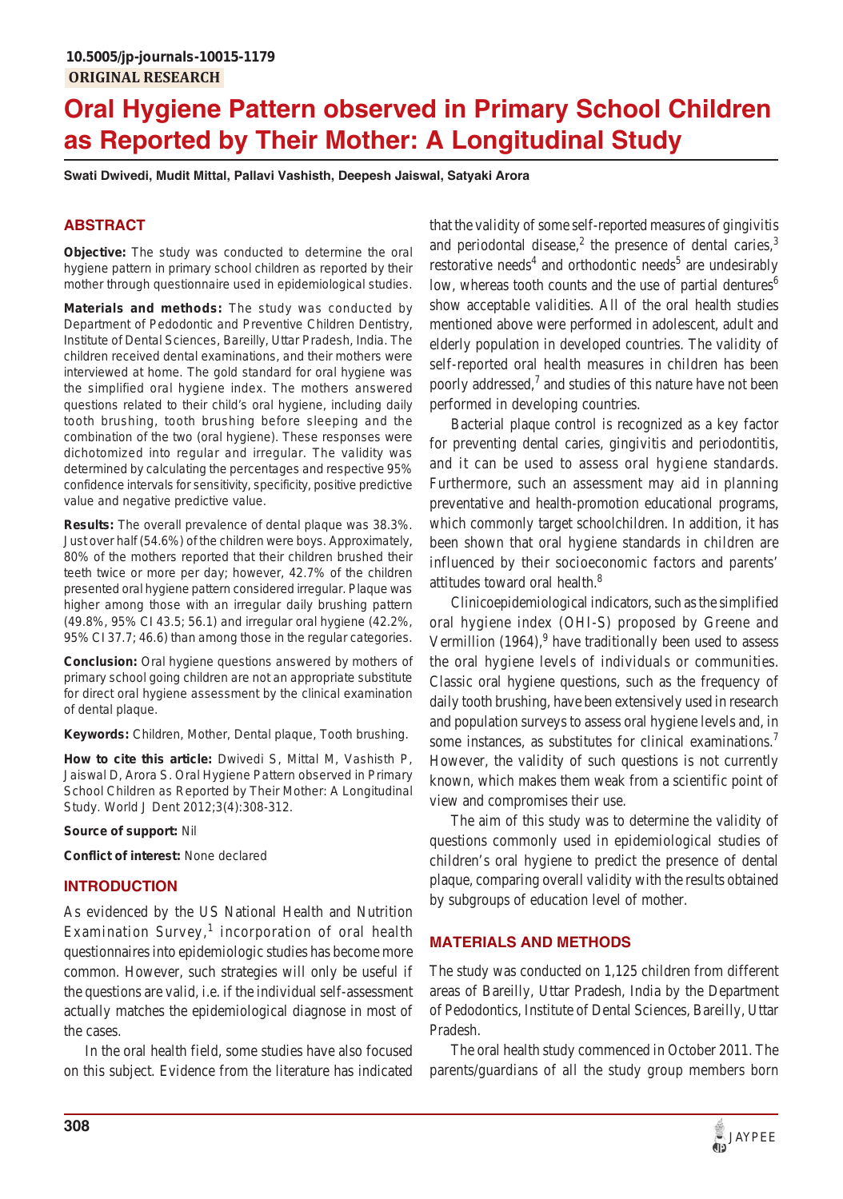# **Oral Hygiene Pattern observed in Primary School Children as Reported by Their Mother: A Longitudinal Study**

**Swati Dwivedi, Mudit Mittal, Pallavi Vashisth, Deepesh Jaiswal, Satyaki Arora**

# **ABSTRACT**

**Objective:** The study was conducted to determine the oral hygiene pattern in primary school children as reported by their mother through questionnaire used in epidemiological studies.

**Materials and methods:** The study was conducted by Department of Pedodontic and Preventive Children Dentistry, Institute of Dental Sciences, Bareilly, Uttar Pradesh, India. The children received dental examinations, and their mothers were interviewed at home. The gold standard for oral hygiene was the simplified oral hygiene index. The mothers answered questions related to their child's oral hygiene, including daily tooth brushing, tooth brushing before sleeping and the combination of the two (oral hygiene). These responses were dichotomized into regular and irregular. The validity was determined by calculating the percentages and respective 95% confidence intervals for sensitivity, specificity, positive predictive value and negative predictive value.

**Results:** The overall prevalence of dental plaque was 38.3%. Just over half (54.6%) of the children were boys. Approximately, 80% of the mothers reported that their children brushed their teeth twice or more per day; however, 42.7% of the children presented oral hygiene pattern considered irregular. Plaque was higher among those with an irregular daily brushing pattern (49.8%, 95% CI 43.5; 56.1) and irregular oral hygiene (42.2%, 95% CI 37.7; 46.6) than among those in the regular categories.

**Conclusion:** Oral hygiene questions answered by mothers of primary school going children are not an appropriate substitute for direct oral hygiene assessment by the clinical examination of dental plaque.

**Keywords:** Children, Mother, Dental plaque, Tooth brushing.

**How to cite this article:** Dwivedi S, Mittal M, Vashisth P, Jaiswal D, Arora S. Oral Hygiene Pattern observed in Primary School Children as Reported by Their Mother: A Longitudinal Study. World J Dent 2012;3(4):308-312.

**Source of support:** Nil

**Conflict of interest:** None declared

# **INTRODUCTION**

As evidenced by the US National Health and Nutrition Examination Survey,<sup>1</sup> incorporation of oral health questionnaires into epidemiologic studies has become more common. However, such strategies will only be useful if the questions are valid, i.e. if the individual self-assessment actually matches the epidemiological diagnose in most of the cases.

In the oral health field, some studies have also focused on this subject. Evidence from the literature has indicated that the validity of some self-reported measures of gingivitis and periodontal disease,<sup>2</sup> the presence of dental caries,<sup>3</sup> restorative needs<sup>4</sup> and orthodontic needs<sup>5</sup> are undesirably low, whereas tooth counts and the use of partial dentures<sup>6</sup> show acceptable validities. All of the oral health studies mentioned above were performed in adolescent, adult and elderly population in developed countries. The validity of self-reported oral health measures in children has been poorly addressed, $<sup>7</sup>$  and studies of this nature have not been</sup> performed in developing countries.

Bacterial plaque control is recognized as a key factor for preventing dental caries, gingivitis and periodontitis, and it can be used to assess oral hygiene standards. Furthermore, such an assessment may aid in planning preventative and health-promotion educational programs, which commonly target schoolchildren. In addition, it has been shown that oral hygiene standards in children are influenced by their socioeconomic factors and parents' attitudes toward oral health.8

Clinicoepidemiological indicators, such as the simplified oral hygiene index (OHI-S) proposed by Greene and Vermillion  $(1964)$ , <sup>9</sup> have traditionally been used to assess the oral hygiene levels of individuals or communities. Classic oral hygiene questions, such as the frequency of daily tooth brushing, have been extensively used in research and population surveys to assess oral hygiene levels and, in some instances, as substitutes for clinical examinations.<sup>7</sup> However, the validity of such questions is not currently known, which makes them weak from a scientific point of view and compromises their use.

The aim of this study was to determine the validity of questions commonly used in epidemiological studies of children's oral hygiene to predict the presence of dental plaque, comparing overall validity with the results obtained by subgroups of education level of mother.

# **MATERIALS AND METHODS**

The study was conducted on 1,125 children from different areas of Bareilly, Uttar Pradesh, India by the Department of Pedodontics, Institute of Dental Sciences, Bareilly, Uttar Pradesh.

The oral health study commenced in October 2011. The parents/guardians of all the study group members born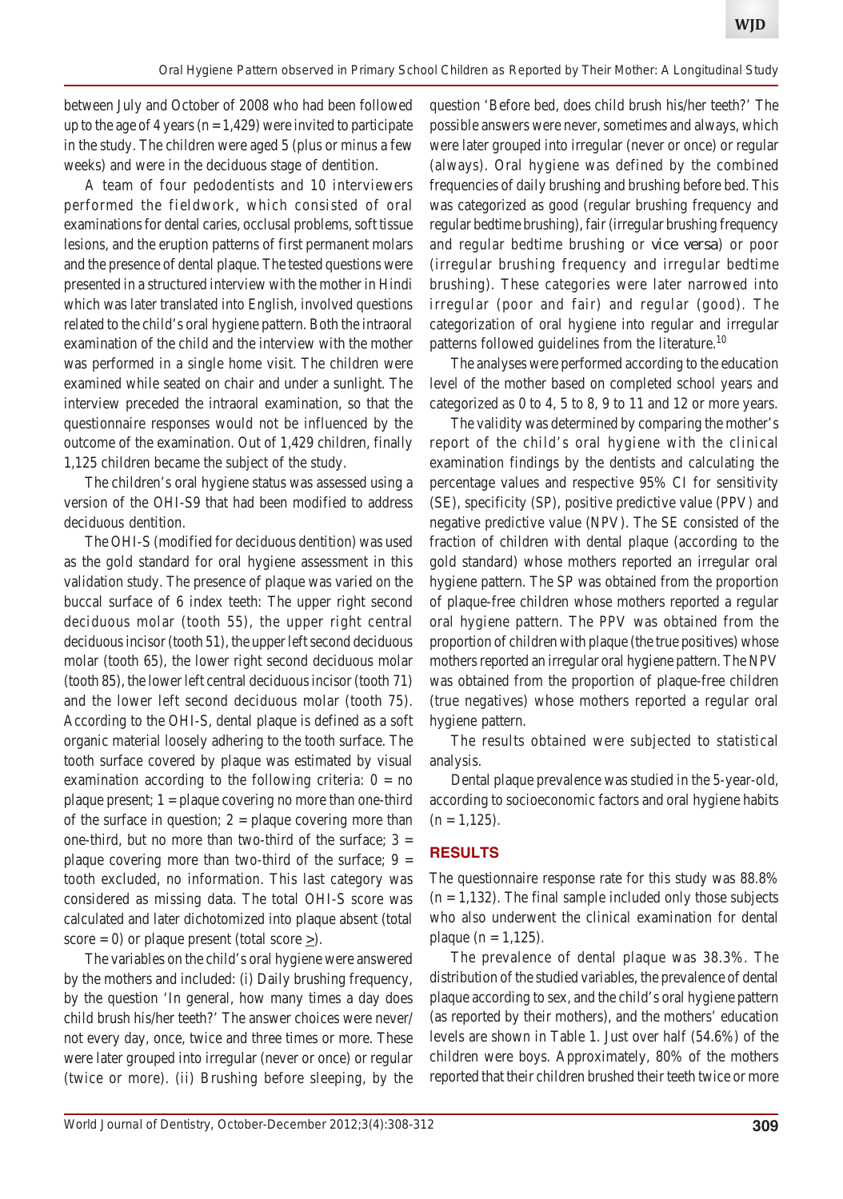between July and October of 2008 who had been followed up to the age of 4 years ( $n = 1,429$ ) were invited to participate in the study. The children were aged 5 (plus or minus a few weeks) and were in the deciduous stage of dentition.

A team of four pedodentists and 10 interviewers performed the fieldwork, which consisted of oral examinations for dental caries, occlusal problems, soft tissue lesions, and the eruption patterns of first permanent molars and the presence of dental plaque. The tested questions were presented in a structured interview with the mother in Hindi which was later translated into English, involved questions related to the child's oral hygiene pattern. Both the intraoral examination of the child and the interview with the mother was performed in a single home visit. The children were examined while seated on chair and under a sunlight. The interview preceded the intraoral examination, so that the questionnaire responses would not be influenced by the outcome of the examination. Out of 1,429 children, finally 1,125 children became the subject of the study.

The children's oral hygiene status was assessed using a version of the OHI-S9 that had been modified to address deciduous dentition.

The OHI-S (modified for deciduous dentition) was used as the gold standard for oral hygiene assessment in this validation study. The presence of plaque was varied on the buccal surface of 6 index teeth: The upper right second deciduous molar (tooth 55), the upper right central deciduous incisor (tooth 51), the upper left second deciduous molar (tooth 65), the lower right second deciduous molar (tooth 85), the lower left central deciduous incisor (tooth 71) and the lower left second deciduous molar (tooth 75). According to the OHI-S, dental plaque is defined as a soft organic material loosely adhering to the tooth surface. The tooth surface covered by plaque was estimated by visual examination according to the following criteria:  $0 = no$ plaque present;  $1 =$  plaque covering no more than one-third of the surface in question;  $2 =$  plaque covering more than one-third, but no more than two-third of the surface;  $3 =$ plaque covering more than two-third of the surface;  $9 =$ tooth excluded, no information. This last category was considered as missing data. The total OHI-S score was calculated and later dichotomized into plaque absent (total score = 0) or plaque present (total score  $\geq$ ).

The variables on the child's oral hygiene were answered by the mothers and included: (i) Daily brushing frequency, by the question 'In general, how many times a day does child brush his/her teeth?' The answer choices were never/ not every day, once, twice and three times or more. These were later grouped into irregular (never or once) or regular (twice or more). (ii) Brushing before sleeping, by the question 'Before bed, does child brush his/her teeth?' The possible answers were never, sometimes and always, which were later grouped into irregular (never or once) or regular (always). Oral hygiene was defined by the combined frequencies of daily brushing and brushing before bed. This was categorized as good (regular brushing frequency and regular bedtime brushing), fair (irregular brushing frequency and regular bedtime brushing or *vice versa*) or poor (irregular brushing frequency and irregular bedtime brushing). These categories were later narrowed into irregular (poor and fair) and regular (good). The categorization of oral hygiene into regular and irregular patterns followed guidelines from the literature.<sup>10</sup>

The analyses were performed according to the education level of the mother based on completed school years and categorized as 0 to 4, 5 to 8, 9 to 11 and 12 or more years.

The validity was determined by comparing the mother's report of the child's oral hygiene with the clinical examination findings by the dentists and calculating the percentage values and respective 95% CI for sensitivity (SE), specificity (SP), positive predictive value (PPV) and negative predictive value (NPV). The SE consisted of the fraction of children with dental plaque (according to the gold standard) whose mothers reported an irregular oral hygiene pattern. The SP was obtained from the proportion of plaque-free children whose mothers reported a regular oral hygiene pattern. The PPV was obtained from the proportion of children with plaque (the true positives) whose mothers reported an irregular oral hygiene pattern. The NPV was obtained from the proportion of plaque-free children (true negatives) whose mothers reported a regular oral hygiene pattern.

The results obtained were subjected to statistical analysis.

Dental plaque prevalence was studied in the 5-year-old, according to socioeconomic factors and oral hygiene habits  $(n = 1,125)$ .

# **RESULTS**

The questionnaire response rate for this study was 88.8%  $(n = 1,132)$ . The final sample included only those subjects who also underwent the clinical examination for dental plaque ( $n = 1,125$ ).

The prevalence of dental plaque was 38.3%. The distribution of the studied variables, the prevalence of dental plaque according to sex, and the child's oral hygiene pattern (as reported by their mothers), and the mothers' education levels are shown in Table 1. Just over half (54.6%) of the children were boys. Approximately, 80% of the mothers reported that their children brushed their teeth twice or more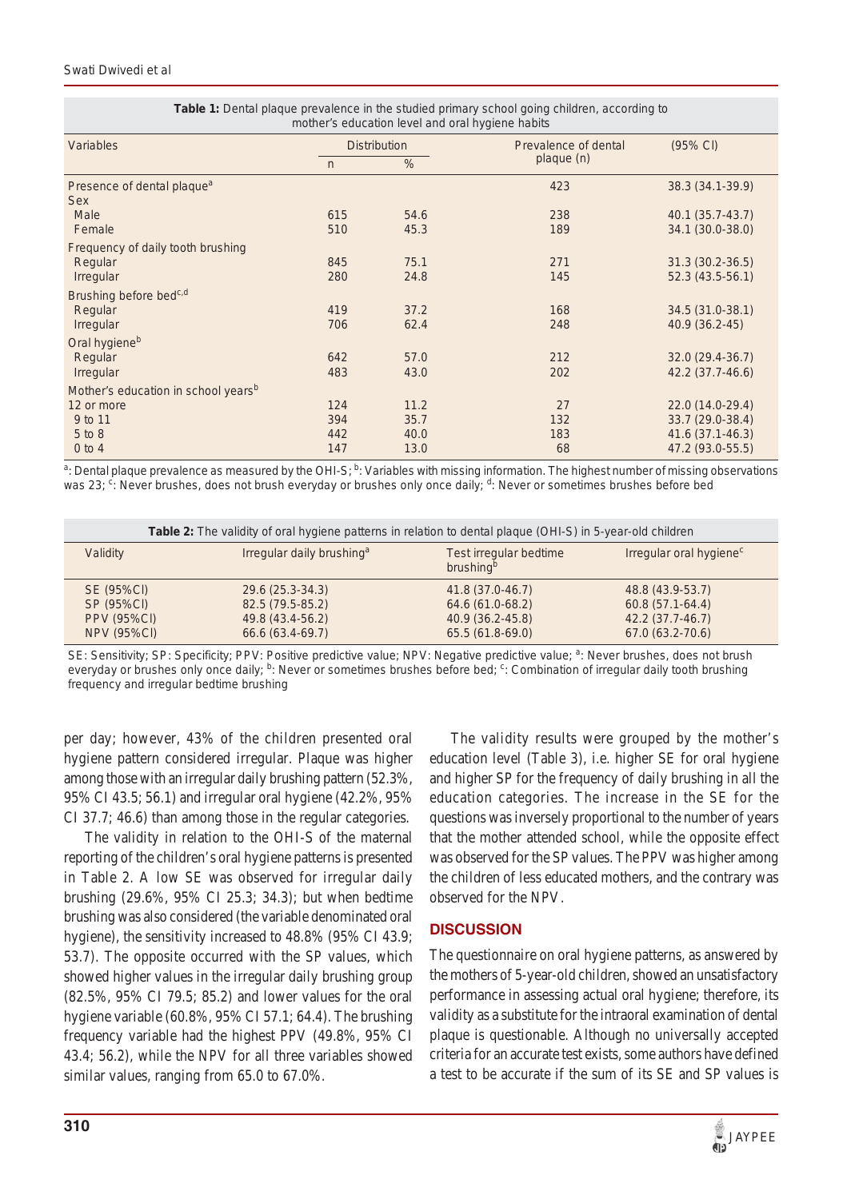| mother's education level and oral hygiene habits     |                     |      |                      |                   |  |
|------------------------------------------------------|---------------------|------|----------------------|-------------------|--|
| Variables                                            | <b>Distribution</b> |      | Prevalence of dental | (95% CI)          |  |
|                                                      | %<br>$\sqrt{n}$     |      | plaque(n)            |                   |  |
| Presence of dental plaque <sup>a</sup><br><b>Sex</b> |                     |      | 423                  | 38.3 (34.1-39.9)  |  |
| Male                                                 | 615                 | 54.6 | 238                  | 40.1 (35.7-43.7)  |  |
| Female                                               | 510                 | 45.3 | 189                  | 34.1 (30.0-38.0)  |  |
| Frequency of daily tooth brushing                    |                     |      |                      |                   |  |
| Regular                                              | 845                 | 75.1 | 271                  | $31.3(30.2-36.5)$ |  |
| Irregular                                            | 280                 | 24.8 | 145                  | 52.3 (43.5-56.1)  |  |
| Brushing before bed <sup>c,d</sup>                   |                     |      |                      |                   |  |
| Regular                                              | 419                 | 37.2 | 168                  | 34.5 (31.0-38.1)  |  |
| Irregular                                            | 706                 | 62.4 | 248                  | 40.9 (36.2-45)    |  |
| Oral hygiene <sup>b</sup>                            |                     |      |                      |                   |  |
| Regular                                              | 642                 | 57.0 | 212                  | 32.0 (29.4-36.7)  |  |
| Irregular                                            | 483                 | 43.0 | 202                  | 42.2 (37.7-46.6)  |  |
| Mother's education in school years <sup>b</sup>      |                     |      |                      |                   |  |
| 12 or more                                           | 124                 | 11.2 | 27                   | 22.0 (14.0-29.4)  |  |
| 9 to 11                                              | 394                 | 35.7 | 132                  | 33.7 (29.0-38.4)  |  |
| 5 to 8                                               | 442                 | 40.0 | 183                  | 41.6 (37.1-46.3)  |  |
| $0$ to 4                                             | 147                 | 13.0 | 68                   | 47.2 (93.0-55.5)  |  |

| <b>Table 1:</b> Dental plaque prevalence in the studied primary school going children, according to |
|-----------------------------------------------------------------------------------------------------|
| mother's education level and oral hygiene habits                                                    |

<sup>a</sup>: Dental plaque prevalence as measured by the OHI-S; <sup>b</sup>: Variables with missing information. The highest number of missing observations was 23; <sup>c</sup>: Never brushes, does not brush everyday or brushes only once daily; <sup>d</sup>: Never or sometimes brushes before bed

| <b>Table 2:</b> The validity of oral hygiene patterns in relation to dental plaque (OHI-S) in 5-year-old children |                                       |                                                               |                                     |  |
|-------------------------------------------------------------------------------------------------------------------|---------------------------------------|---------------------------------------------------------------|-------------------------------------|--|
| Validity                                                                                                          | Irregular daily brushing <sup>a</sup> | <b>Test irregular bedtime</b><br><i>brushing</i> <sup>b</sup> | Irregular oral hygiene <sup>c</sup> |  |
| SE (95%CI)                                                                                                        | 29.6 (25.3-34.3)                      | 41.8 (37.0-46.7)                                              | 48.8 (43.9-53.7)                    |  |
| SP (95%CI)                                                                                                        | 82.5 (79.5-85.2)                      | 64.6 (61.0-68.2)                                              | 60.8 (57.1-64.4)                    |  |
| <b>PPV (95%CI)</b>                                                                                                | 49.8 (43.4-56.2)                      | 40.9 (36.2-45.8)                                              | 42.2 (37.7-46.7)                    |  |
| <b>NPV (95%CI)</b>                                                                                                | 66.6 (63.4-69.7)                      | 65.5 (61.8-69.0)                                              | 67.0 (63.2-70.6)                    |  |

SE: Sensitivity; SP: Specificity; PPV: Positive predictive value; NPV: Negative predictive value; <sup>a</sup>: Never brushes, does not brush everyday or brushes only once daily; <sup>b</sup>: Never or sometimes brushes before bed; <sup>c</sup>: Combination of irregular daily tooth brushing frequency and irregular bedtime brushing

per day; however, 43% of the children presented oral hygiene pattern considered irregular. Plaque was higher among those with an irregular daily brushing pattern (52.3%, 95% CI 43.5; 56.1) and irregular oral hygiene (42.2%, 95% CI 37.7; 46.6) than among those in the regular categories.

The validity in relation to the OHI-S of the maternal reporting of the children's oral hygiene patterns is presented in Table 2. A low SE was observed for irregular daily brushing (29.6%, 95% CI 25.3; 34.3); but when bedtime brushing was also considered (the variable denominated oral hygiene), the sensitivity increased to 48.8% (95% CI 43.9; 53.7). The opposite occurred with the SP values, which showed higher values in the irregular daily brushing group (82.5%, 95% CI 79.5; 85.2) and lower values for the oral hygiene variable (60.8%, 95% CI 57.1; 64.4). The brushing frequency variable had the highest PPV (49.8%, 95% CI 43.4; 56.2), while the NPV for all three variables showed similar values, ranging from 65.0 to 67.0%.

The validity results were grouped by the mother's education level (Table 3), i.e. higher SE for oral hygiene and higher SP for the frequency of daily brushing in all the education categories. The increase in the SE for the questions was inversely proportional to the number of years that the mother attended school, while the opposite effect was observed for the SP values. The PPV was higher among the children of less educated mothers, and the contrary was observed for the NPV.

# **DISCUSSION**

The questionnaire on oral hygiene patterns, as answered by the mothers of 5-year-old children, showed an unsatisfactory performance in assessing actual oral hygiene; therefore, its validity as a substitute for the intraoral examination of dental plaque is questionable. Although no universally accepted criteria for an accurate test exists, some authors have defined a test to be accurate if the sum of its SE and SP values is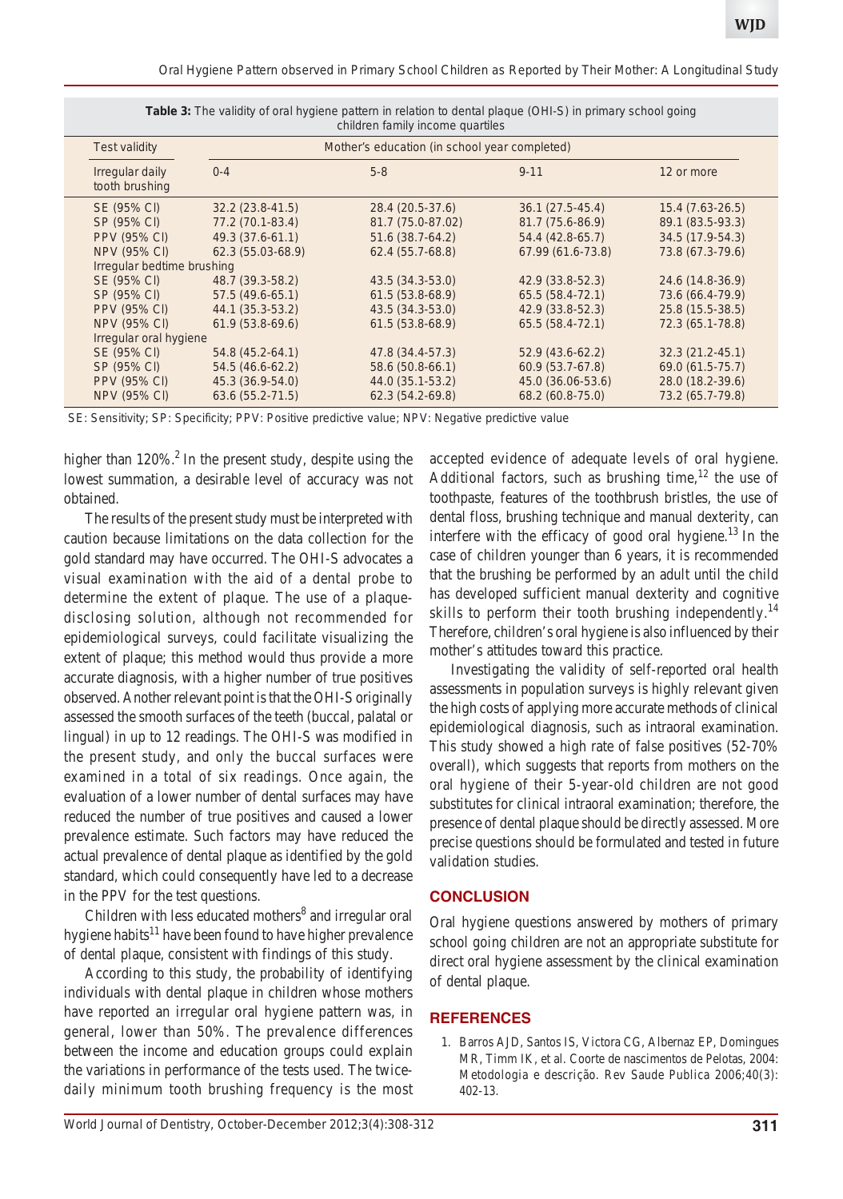|  | Oral Hygiene Pattern observed in Primary School Children as Reported by Their Mother: A Longitudinal Study |  |
|--|------------------------------------------------------------------------------------------------------------|--|
|  |                                                                                                            |  |

| children family income quartiles |                                                                                                        |                                                                                |                                                                               |                                                                                |                                                                              |
|----------------------------------|--------------------------------------------------------------------------------------------------------|--------------------------------------------------------------------------------|-------------------------------------------------------------------------------|--------------------------------------------------------------------------------|------------------------------------------------------------------------------|
|                                  | <b>Test validity</b>                                                                                   | Mother's education (in school year completed)                                  |                                                                               |                                                                                |                                                                              |
|                                  | Irregular daily<br>tooth brushing                                                                      | $0 - 4$                                                                        | $5-8$                                                                         | $9 - 11$                                                                       | 12 or more                                                                   |
|                                  | SE (95% CI)<br>SP (95% CI)<br><b>PPV (95% CI)</b><br><b>NPV (95% CI)</b>                               | $32.2(23.8-41.5)$<br>77.2 (70.1-83.4)<br>49.3 (37.6-61.1)<br>62.3 (55.03-68.9) | 28.4 (20.5-37.6)<br>81.7 (75.0-87.02)<br>51.6 (38.7-64.2)<br>62.4 (55.7-68.8) | $36.1(27.5-45.4)$<br>81.7 (75.6-86.9)<br>54.4 (42.8-65.7)<br>67.99 (61.6-73.8) | 15.4 (7.63-26.5)<br>89.1 (83.5-93.3)<br>34.5 (17.9-54.3)<br>73.8 (67.3-79.6) |
|                                  | Irregular bedtime brushing<br>SE (95% CI)<br>SP (95% CI)<br><b>PPV (95% CI)</b><br><b>NPV (95% CI)</b> | 48.7 (39.3-58.2)<br>57.5 (49.6-65.1)<br>44.1 (35.3-53.2)<br>61.9 (53.8-69.6)   | 43.5 (34.3-53.0)<br>61.5 (53.8-68.9)<br>43.5 (34.3-53.0)<br>61.5 (53.8-68.9)  | 42.9 (33.8-52.3)<br>65.5 (58.4-72.1)<br>42.9 (33.8-52.3)<br>65.5 (58.4-72.1)   | 24.6 (14.8-36.9)<br>73.6 (66.4-79.9)<br>25.8 (15.5-38.5)<br>72.3 (65.1-78.8) |
|                                  | Irregular oral hygiene<br>SE (95% CI)<br>SP (95% CI)<br><b>PPV (95% CI)</b><br><b>NPV (95% CI)</b>     | 54.8 (45.2-64.1)<br>54.5 (46.6-62.2)<br>45.3 (36.9-54.0)<br>63.6 (55.2-71.5)   | 47.8 (34.4-57.3)<br>58.6 (50.8-66.1)<br>44.0 (35.1-53.2)<br>62.3 (54.2-69.8)  | $52.9(43.6-62.2)$<br>60.9 (53.7-67.8)<br>45.0 (36.06-53.6)<br>68.2 (60.8-75.0) | 32.3 (21.2-45.1)<br>69.0 (61.5-75.7)<br>28.0 (18.2-39.6)<br>73.2 (65.7-79.8) |

**Table 3:** The validity of oral hygiene pattern in relation to dental plaque (OHI-S) in primary school going

SE: Sensitivity; SP: Specificity; PPV: Positive predictive value; NPV: Negative predictive value

higher than  $120\%$ .<sup>2</sup> In the present study, despite using the lowest summation, a desirable level of accuracy was not obtained.

The results of the present study must be interpreted with caution because limitations on the data collection for the gold standard may have occurred. The OHI-S advocates a visual examination with the aid of a dental probe to determine the extent of plaque. The use of a plaquedisclosing solution, although not recommended for epidemiological surveys, could facilitate visualizing the extent of plaque; this method would thus provide a more accurate diagnosis, with a higher number of true positives observed. Another relevant point is that the OHI-S originally assessed the smooth surfaces of the teeth (buccal, palatal or lingual) in up to 12 readings. The OHI-S was modified in the present study, and only the buccal surfaces were examined in a total of six readings. Once again, the evaluation of a lower number of dental surfaces may have reduced the number of true positives and caused a lower prevalence estimate. Such factors may have reduced the actual prevalence of dental plaque as identified by the gold standard, which could consequently have led to a decrease in the PPV for the test questions.

Children with less educated mothers<sup>8</sup> and irregular oral hygiene habits $11$  have been found to have higher prevalence of dental plaque, consistent with findings of this study.

According to this study, the probability of identifying individuals with dental plaque in children whose mothers have reported an irregular oral hygiene pattern was, in general, lower than 50%. The prevalence differences between the income and education groups could explain the variations in performance of the tests used. The twicedaily minimum tooth brushing frequency is the most

accepted evidence of adequate levels of oral hygiene. Additional factors, such as brushing time,<sup>12</sup> the use of toothpaste, features of the toothbrush bristles, the use of dental floss, brushing technique and manual dexterity, can interfere with the efficacy of good oral hygiene.<sup>13</sup> In the case of children younger than 6 years, it is recommended that the brushing be performed by an adult until the child has developed sufficient manual dexterity and cognitive skills to perform their tooth brushing independently.<sup>14</sup> Therefore, children's oral hygiene is also influenced by their mother's attitudes toward this practice.

Investigating the validity of self-reported oral health assessments in population surveys is highly relevant given the high costs of applying more accurate methods of clinical epidemiological diagnosis, such as intraoral examination. This study showed a high rate of false positives (52-70% overall), which suggests that reports from mothers on the oral hygiene of their 5-year-old children are not good substitutes for clinical intraoral examination; therefore, the presence of dental plaque should be directly assessed. More precise questions should be formulated and tested in future validation studies.

# **CONCLUSION**

Oral hygiene questions answered by mothers of primary school going children are not an appropriate substitute for direct oral hygiene assessment by the clinical examination of dental plaque.

#### **REFERENCES**

1. Barros AJD, Santos IS, Victora CG, Albernaz EP, Domingues MR, Timm IK, et al. Coorte de nascimentos de Pelotas, 2004: Metodologia e descrição. Rev Saude Publica 2006;40(3): 402-13.